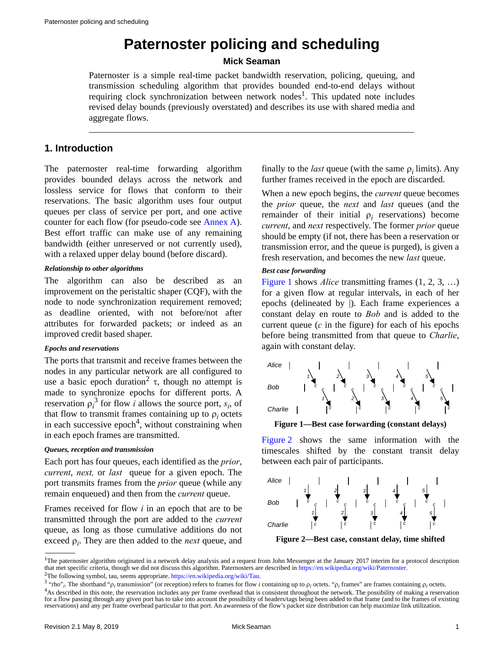# **Paternoster policing and scheduling**

# **Mick Seaman**

Paternoster is a simple real-time packet bandwidth reservation, policing, queuing, and transmission scheduling algorithm that provides bounded end-to-end delays without requiring clock synchronization between network nodes<sup>1</sup>. This updated note includes revised delay bounds (previously overstated) and describes its use with shared media and aggregate flows.

\_\_\_\_\_\_\_\_\_\_\_\_\_\_\_\_\_\_\_\_\_\_\_\_\_\_\_\_\_\_\_\_\_\_\_\_\_\_\_\_\_\_\_\_\_\_\_\_\_\_\_\_\_\_\_\_\_\_\_\_\_\_\_\_\_\_\_\_\_\_\_\_

# **1. Introduction**

The paternoster real-time forwarding algorithm provides bounded delays across the network and lossless service for flows that conform to their reservations. The basic algorithm uses four output queues per class of service per port, and one active counter for each flow (for pseudo-code see [Annex A\)](#page-8-0). Best effort traffic can make use of any remaining bandwidth (either unreserved or not currently used), with a relaxed upper delay bound (before discard).

# *Relationship to other algorithms*

The algorithm can also be described as an improvement on the peristaltic shaper (CQF), with the node to node synchronization requirement removed; as deadline oriented, with not before/not after attributes for forwarded packets; or indeed as an improved credit based shaper.

# *Epochs and reservations*

The ports that transmit and receive frames between the nodes in any particular network are all configured to use a basic epoch duration<sup>2</sup>  $\tau$ , though no attempt is made to synchronize epochs for different ports. A reservation  $\rho_i^3$  for flow *i* allows the source port,  $s_i$ , of that flow to transmit frames containing up to  $\rho_i$  octets in each successive epoch<sup>4</sup>, without constraining when in each epoch frames are transmitted.

#### *Queues, reception and transmission*

Each port has four queues, each identified as the *prior*, *current, next, or last* queue for a given epoch. The port transmits frames from the *prior* queue (while any remain enqueued) and then from the *current* queue.

Frames received for flow *i* in an epoch that are to be transmitted through the port are added to the *current* queue, as long as those cumulative additions do not exceed  $\rho_i$ . They are then added to the *next* queue, and

finally to the *last* queue (with the same  $\rho_i$  limits). Any further frames received in the epoch are discarded.

When a new epoch begins, the *current* queue becomes the *prior* queue, the *next* and *last* queues (and the remainder of their initial  $\rho_i$  reservations) become *current*, and *next* respectively. The former *prior* queue should be empty (if not, there has been a reservation or transmission error, and the queue is purged), is given a fresh reservation, and becomes the new *last* queue.

# *Best case forwarding*

[Figure 1](#page-0-0) shows *Alice* transmitting frames  $(1, 2, 3, ...)$ for a given flow at regular intervals, in each of her epochs (delineated by |). Each frame experiences a constant delay en route to *Bob* and is added to the current queue  $(c$  in the figure) for each of his epochs before being transmitted from that queue to *Charlie*, again with constant delay.



<span id="page-0-0"></span>**Figure 1—Best case forwarding (constant delays)**

[Figure 2](#page-0-1) shows the same information with the timescales shifted by the constant transit delay between each pair of participants.



<span id="page-0-1"></span>**Figure 2—Best case, constant delay, time shifted**

<sup>1</sup>The paternoster algorithm originated in a network delay analysis and a request from John Messenger at the January 2017 interim for a protocol description that met specific criteria, though we did not discuss this algorithm. Paternosters are described in [https://en.wikipedia.org/wiki/Paternoster.](https://en.wikipedia.org/wiki/Paternoster)

<sup>2</sup>The following symbol, tau, seems appropriate. [https://en.wikipedia.org/wiki/Tau.](https://en.wikipedia.org/wiki/Tau)

<sup>&</sup>lt;sup>3</sup> "rho"<sub>*i*</sub>. The shorthand " $\rho_i$  transmission" (or reception) refers to frames for flow *i* containing up to  $\rho_i$  octets. " $\rho_i$  frames" are frames containing  $\rho_i$  octets. <sup>4</sup>As described in this note, the reservation includes any per frame overhead that is consistent throughout the network. The possibility of making a reservation for a flow passing through any given port has to take into account the possibility of headers/tags being been added to that frame (and to the frames of existing reservations) and any per frame overhead particular to that port. An awareness of the flow's packet size distribution can help maximize link utilization.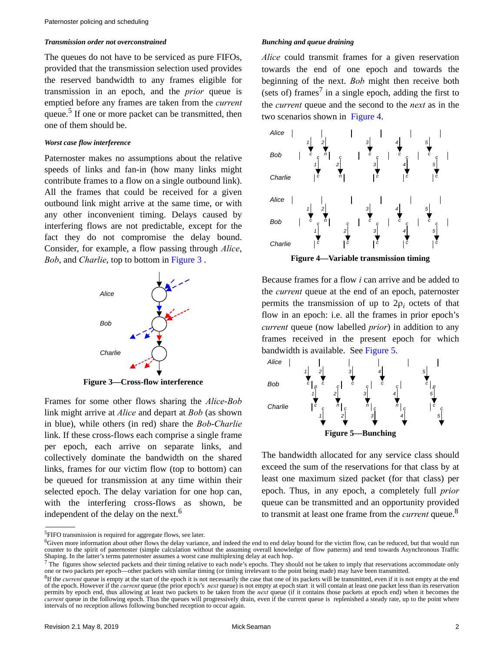#### *Transmission order not overconstrained*

The queues do not have to be serviced as pure FIFOs, provided that the transmission selection used provides the reserved bandwidth to any frames eligible for transmission in an epoch, and the *prior* queue is emptied before any frames are taken from the *current* queue.<sup>5</sup> If one or more packet can be transmitted, then one of them should be.

#### *Worst case flow interference*

Paternoster makes no assumptions about the relative speeds of links and fan-in (how many links might contribute frames to a flow on a single outbound link). All the frames that could be received for a given outbound link might arrive at the same time, or with any other inconvenient timing. Delays caused by interfering flows are not predictable, except for the fact they do not compromise the delay bound. Consider, for example, a flow passing through *Alice*, *Bob*, and *Charlie*, top to bottom in [Figure 3](#page-1-0) .



**Figure 3—Cross-flow interference**

<span id="page-1-0"></span>Frames for some other flows sharing the *Alice*-*Bob* link might arrive at *Alice* and depart at *Bob* (as shown in blue), while others (in red) share the *Bob*-*Charlie* link. If these cross-flows each comprise a single frame per epoch, each arrive on separate links, and collectively dominate the bandwidth on the shared links, frames for our victim flow (top to bottom) can be queued for transmission at any time within their selected epoch. The delay variation for one hop can, with the interfering cross-flows as shown, be independent of the delay on the next.<sup>6</sup>

### *Bunching and queue draining*

*Alice* could transmit frames for a given reservation towards the end of one epoch and towards the beginning of the next. *Bob* might then receive both (sets of) frames<sup>7</sup> in a single epoch, adding the first to the *current* queue and the second to the *next* as in the two scenarios shown in [Figure 4](#page-1-1).



**Figure 4—Variable transmission timing**

<span id="page-1-1"></span>Because frames for a flow *i* can arrive and be added to the *current* queue at the end of an epoch, paternoster permits the transmission of up to  $2\rho_i$  octets of that flow in an epoch: i.e. all the frames in prior epoch's *current* queue (now labelled *prior*) in addition to any frames received in the present epoch for which bandwidth is available. See [Figure 5.](#page-1-2)



<span id="page-1-2"></span>The bandwidth allocated for any service class should exceed the sum of the reservations for that class by at least one maximum sized packet (for that class) per epoch. Thus, in any epoch, a completely full *prior* queue can be transmitted and an opportunity provided to transmit at least one frame from the *current* queue.<sup>8</sup>

<sup>5</sup>FIFO transmission is required for aggregate flows, see later.

<sup>&</sup>lt;sup>6</sup>Given more information about other flows the delay variance, and indeed the end to end delay bound for the victim flow, can be reduced, but that would run counter to the spirit of paternoster (simple calculation without the assuming overall knowledge of flow patterns) and tend towards Asynchronous Traffic Shaping. In the latter's terms paternoster assumes a worst case multiplexing delay at each hop.

 $^7$  The figures show selected packets and their timing relative to each node's epochs. They should not be taken to imply that reservations accommodate only one or two packets per epoch—other packets with similar timing (or timing irrelevant to the point being made) may have been transmitted.

<sup>&</sup>lt;sup>8</sup>If the *current* queue is empty at the start of the epoch it is not necessarily the case that one of its packets will be transmitted, even if it is not empty at the end of the epoch. However if the *current* queue (the prior epoch's *next* queue) is not empty at epoch start it will contain at least one packet less than its reservation permits by epoch end, thus allowing at least two packets to be taken from the *next* queue (if it contains those packets at epoch end) when it becomes the *current* queue in the following epoch. Thus the queues will progressively drain, even if the current queue is replenished a steady rate, up to the point where intervals of no reception allows following bunched reception to occur again.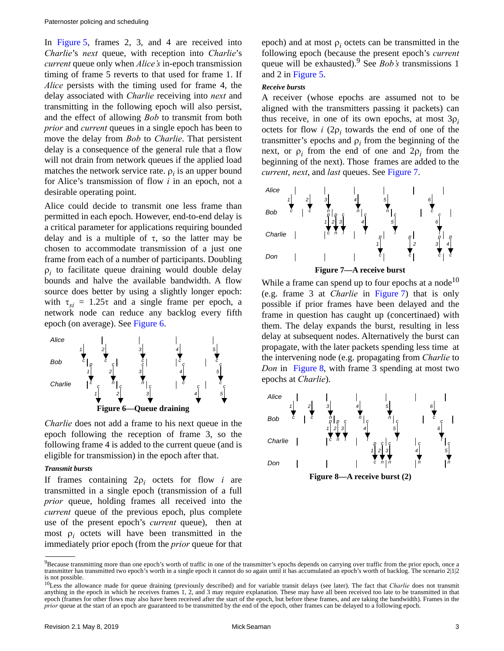In [Figure 5](#page-1-2), frames 2, 3, and 4 are received into *Charlie*'s *next* queue, with reception into *Charlie*'s *current* queue only when *Alice's* in-epoch transmission timing of frame 5 reverts to that used for frame 1. If *Alice* persists with the timing used for frame 4, the delay associated with *Charlie* receiving into *next* and transmitting in the following epoch will also persist, and the effect of allowing *Bob* to transmit from both *prior* and *current* queues in a single epoch has been to move the delay from *Bob* to *Charlie*. That persistent delay is a consequence of the general rule that a flow will not drain from network queues if the applied load matches the network service rate.  $\rho_i$  is an upper bound for Alice's transmission of flow *i* in an epoch, not a desirable operating point.

Alice could decide to transmit one less frame than permitted in each epoch. However, end-to-end delay is a critical parameter for applications requiring bounded delay and is a multiple of  $\tau$ , so the latter may be chosen to accommodate transmission of a just one frame from each of a number of participants. Doubling  $\rho_i$  to facilitate queue draining would double delay bounds and halve the available bandwidth. A flow source does better by using a slightly longer epoch: with  $\tau_{si} = 1.25\tau$  and a single frame per epoch, a network node can reduce any backlog every fifth epoch (on average). See [Figure 6](#page-2-0).



<span id="page-2-0"></span>*Charlie* does not add a frame to his next queue in the epoch following the reception of frame 3, so the following frame 4 is added to the current queue (and is eligible for transmission) in the epoch after that.

#### *Transmit bursts*

If frames containing  $2\rho_i$  octets for flow *i* are transmitted in a single epoch (transmission of a full *prior* queue, holding frames all received into the *current* queue of the previous epoch, plus complete use of the present epoch's *current* queue), then at most  $\rho_i$  octets will have been transmitted in the immediately prior epoch (from the *prior* queue for that

epoch) and at most  $\rho_i$  octets can be transmitted in the following epoch (because the present epoch's *current* queue will be exhausted).9 See *Bob's* transmissions 1 and 2 in [Figure 5](#page-1-2).

#### *Receive bursts*

A receiver (whose epochs are assumed not to be aligned with the transmitters passing it packets) can thus receive, in one of its own epochs, at most  $3\rho_i$ octets for flow *i*  $(2\rho_i)$  towards the end of one of the transmitter's epochs and  $\rho_i$  from the beginning of the next, or  $\rho_i$  from the end of one and  $2\rho_i$  from the beginning of the next). Those frames are added to the *current*, *next*, and *last* queues. See [Figure 7](#page-2-1).



<span id="page-2-1"></span>While a frame can spend up to four epochs at a node<sup>10</sup> (e.g. frame 3 at *Charlie* in [Figure 7\)](#page-2-1) that is only possible if prior frames have been delayed and the frame in question has caught up (concertinaed) with them. The delay expands the burst, resulting in less delay at subsequent nodes. Alternatively the burst can propagate, with the later packets spending less time at the intervening node (e.g. propagating from *Charlie* to *Don* in [Figure 8](#page-2-2), with frame 3 spending at most two epochs at *Charlie*).

<span id="page-2-2"></span>

<sup>&</sup>lt;sup>9</sup>Because transmitting more than one epoch's worth of traffic in one of the transmitter's epochs depends on carrying over traffic from the prior epoch, once a transmitter has transmitted two epoch's worth in a single epoch it cannot do so again until it has accumulated an epoch's worth of backlog. The scenario 2|1|2 is not possible.

<sup>&</sup>lt;sup>10</sup>Less the allowance made for queue draining (previously described) and for variable transit delays (see later). The fact that *Charlie* does not transmit anything in the epoch in which he receives frames 1, 2, and 3 may require explanation. These may have all been received too late to be transmitted in that epoch (frames for other flows may also have been received after the start of the epoch, but before these frames, and are taking the bandwidth). Frames in the *prior* queue at the start of an epoch are guaranteed to be transmitted by the end of the epoch, other frames can be delayed to a following epoch.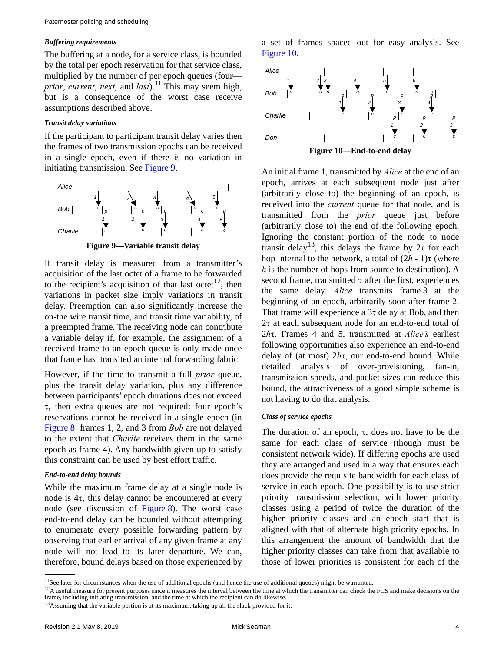#### *Buffering requirements*

The buffering at a node, for a service class, is bounded by the total per epoch reservation for that service class, multiplied by the number of per epoch queues (four *prior*, *current*, *next*, and *last*).11 This may seem high, but is a consequence of the worst case receive assumptions described above.

#### *Transit delay variations*

If the participant to participant transit delay varies then the frames of two transmission epochs can be received in a single epoch, even if there is no variation in initiating transmission. See [Figure 9](#page-3-0).



<span id="page-3-0"></span>If transit delay is measured from a transmitter's acquisition of the last octet of a frame to be forwarded to the recipient's acquisition of that last octet<sup>12</sup>, then variations in packet size imply variations in transit delay. Preemption can also significantly increase the on-the wire transit time, and transit time variability, of a preempted frame. The receiving node can contribute a variable delay if, for example, the assignment of a received frame to an epoch queue is only made once that frame has transited an internal forwarding fabric.

However, if the time to transmit a full *prior* queue, plus the transit delay variation, plus any difference between participants' epoch durations does not exceed  $\tau$ , then extra queues are not required: four epoch's reservations cannot be received in a single epoch (in [Figure 8](#page-2-2) frames 1, 2, and 3 from *Bob* are not delayed to the extent that *Charlie* receives them in the same epoch as frame 4). Any bandwidth given up to satisfy this constraint can be used by best effort traffic.

#### *End-to-end delay bounds*

While the maximum frame delay at a single node is node is  $4\tau$ , this delay cannot be encountered at every node (see discussion of [Figure 8](#page-2-2)). The worst case end-to-end delay can be bounded without attempting to enumerate every possible forwarding pattern by observing that earlier arrival of any given frame at any node will not lead to its later departure. We can, therefore, bound delays based on those experienced by

a set of frames spaced out for easy analysis. See [Figure 10](#page-3-1).



<span id="page-3-1"></span>An initial frame 1, transmitted by *Alice* at the end of an epoch, arrives at each subsequent node just after (arbitrarily close to) the beginning of an epoch, is received into the *current* queue for that node, and is transmitted from the *prior* queue just before (arbitrarily close to) the end of the following epoch. Ignoring the constant portion of the node to node transit delay<sup>13</sup>, this delays the frame by  $2\tau$  for each hop internal to the network, a total of  $(2h - 1)\tau$  (where *h* is the number of hops from source to destination). A second frame, transmitted  $\tau$  after the first, experiences the same delay. *Alice* transmits frame 3 at the beginning of an epoch, arbitrarily soon after frame 2. That frame will experience a  $3\tau$  delay at Bob, and then  $2\tau$  at each subsequent node for an end-to-end total of 2*h*. Frames 4 and 5, transmitted at *Alice's* earliest following opportunities also experience an end-to-end delay of (at most)  $2h\tau$ , our end-to-end bound. While detailed analysis of over-provisioning, fan-in, transmission speeds, and packet sizes can reduce this bound, the attractiveness of a good simple scheme is not having to do that analysis.

#### *Class of service epochs*

The duration of an epoch,  $\tau$ , does not have to be the same for each class of service (though must be consistent network wide). If differing epochs are used they are arranged and used in a way that ensures each does provide the requisite bandwidth for each class of service in each epoch. One possibility is to use strict priority transmission selection, with lower priority classes using a period of twice the duration of the higher priority classes and an epoch start that is aligned with that of alternate high priority epochs. In this arrangement the amount of bandwidth that the higher priority classes can take from that available to those of lower priorities is consistent for each of the

<sup>&</sup>lt;sup>11</sup>See later for circumstances when the use of additional epochs (and hence the use of additional queues) might be warranted.

 $12A$  useful measure for present purposes since it measures the interval between the time at which the transmitter can check the FCS and make decisions on the frame, including initiating transmission, and the time at which the recipient can do likewise.

<sup>&</sup>lt;sup>13</sup>Assuming that the variable portion is at its maximum, taking up all the slack provided for it.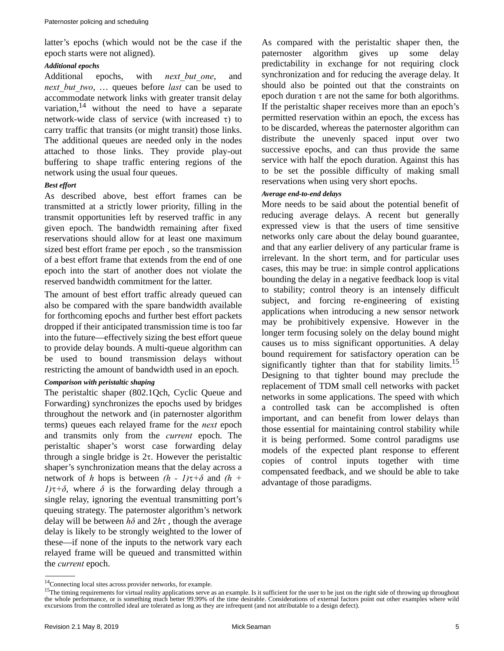latter's epochs (which would not be the case if the epoch starts were not aligned).

# *Additional epochs*

Additional epochs, with *next but one*, and *next\_but\_two*, … queues before *last* can be used to accommodate network links with greater transit delay variation,  $14$  without the need to have a separate network-wide class of service (with increased  $\tau$ ) to carry traffic that transits (or might transit) those links. The additional queues are needed only in the nodes attached to those links. They provide play-out buffering to shape traffic entering regions of the network using the usual four queues.

# *Best effort*

As described above, best effort frames can be transmitted at a strictly lower priority, filling in the transmit opportunities left by reserved traffic in any given epoch. The bandwidth remaining after fixed reservations should allow for at least one maximum sized best effort frame per epoch , so the transmission of a best effort frame that extends from the end of one epoch into the start of another does not violate the reserved bandwidth commitment for the latter.

The amount of best effort traffic already queued can also be compared with the spare bandwidth available for forthcoming epochs and further best effort packets dropped if their anticipated transmission time is too far into the future—effectively sizing the best effort queue to provide delay bounds. A multi-queue algorithm can be used to bound transmission delays without restricting the amount of bandwidth used in an epoch.

# *Comparison with peristaltic shaping*

The peristaltic shaper (802.1Qch, Cyclic Queue and Forwarding) synchronizes the epochs used by bridges throughout the network and (in paternoster algorithm terms) queues each relayed frame for the *next* epoch and transmits only from the *current* epoch. The peristaltic shaper's worst case forwarding delay through a single bridge is  $2\tau$ . However the peristaltic shaper's synchronization means that the delay across a network of *h* hops is between  $(h - 1)\tau + \delta$  and  $(h +$  $1$ / $\tau$ + $\delta$ , where  $\delta$  is the forwarding delay through a single relay, ignoring the eventual transmitting port's queuing strategy. The paternoster algorithm's network delay will be between  $h\delta$  and  $2h\tau$ , though the average delay is likely to be strongly weighted to the lower of these—if none of the inputs to the network vary each relayed frame will be queued and transmitted within the *current* epoch.

As compared with the peristaltic shaper then, the paternoster algorithm gives up some delay predictability in exchange for not requiring clock synchronization and for reducing the average delay. It should also be pointed out that the constraints on epoch duration  $\tau$  are not the same for both algorithms. If the peristaltic shaper receives more than an epoch's permitted reservation within an epoch, the excess has to be discarded, whereas the paternoster algorithm can distribute the unevenly spaced input over two successive epochs, and can thus provide the same service with half the epoch duration. Against this has to be set the possible difficulty of making small reservations when using very short epochs.

# *Average end-to-end delays*

More needs to be said about the potential benefit of reducing average delays. A recent but generally expressed view is that the users of time sensitive networks only care about the delay bound guarantee, and that any earlier delivery of any particular frame is irrelevant. In the short term, and for particular uses cases, this may be true: in simple control applications bounding the delay in a negative feedback loop is vital to stability; control theory is an intensely difficult subject, and forcing re-engineering of existing applications when introducing a new sensor network may be prohibitively expensive. However in the longer term focusing solely on the delay bound might causes us to miss significant opportunities. A delay bound requirement for satisfactory operation can be significantly tighter than that for stability limits.<sup>15</sup> Designing to that tighter bound may preclude the replacement of TDM small cell networks with packet networks in some applications. The speed with which a controlled task can be accomplished is often important, and can benefit from lower delays than those essential for maintaining control stability while it is being performed. Some control paradigms use models of the expected plant response to efferent copies of control inputs together with time compensated feedback, and we should be able to take advantage of those paradigms.

<sup>14</sup>Connecting local sites across provider networks, for example.

<sup>&</sup>lt;sup>15</sup>The timing requirements for virtual reality applications serve as an example. Is it sufficient for the user to be just on the right side of throwing up throughout the whole performance, or is something much better 99.99% of the time desirable. Considerations of external factors point out other examples where wild excursions from the controlled ideal are tolerated as long as they are infrequent (and not attributable to a design defect).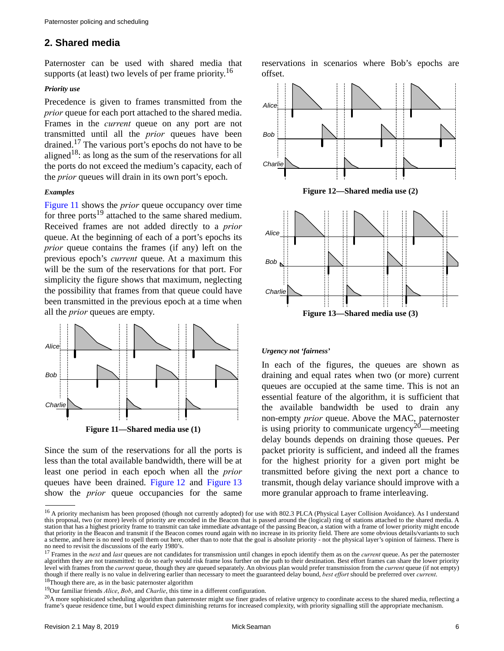# **2. Shared media**

Paternoster can be used with shared media that supports (at least) two levels of per frame priority.<sup>16</sup>

#### *Priority use*

Precedence is given to frames transmitted from the *prior* queue for each port attached to the shared media. Frames in the *current* queue on any port are not transmitted until all the *prior* queues have been drained.17 The various port's epochs do not have to be aligned<sup>18</sup>: as long as the sum of the reservations for all the ports do not exceed the medium's capacity, each of the *prior* queues will drain in its own port's epoch.

#### *Examples*

[Figure 11](#page-5-0) shows the *prior* queue occupancy over time for three ports<sup>19</sup> attached to the same shared medium. Received frames are not added directly to a *prior* queue. At the beginning of each of a port's epochs its *prior* queue contains the frames (if any) left on the previous epoch's *current* queue. At a maximum this will be the sum of the reservations for that port. For simplicity the figure shows that maximum, neglecting the possibility that frames from that queue could have been transmitted in the previous epoch at a time when all the *prior* queues are empty.



<span id="page-5-0"></span>Since the sum of the reservations for all the ports is less than the total available bandwidth, there will be at least one period in each epoch when all the *prior* queues have been drained. [Figure 12](#page-5-1) and [Figure 13](#page-5-2) show the *prior* queue occupancies for the same reservations in scenarios where Bob's epochs are offset.

<span id="page-5-1"></span>

#### <span id="page-5-2"></span>*Urgency not 'fairness'*

In each of the figures, the queues are shown as draining and equal rates when two (or more) current queues are occupied at the same time. This is not an essential feature of the algorithm, it is sufficient that the available bandwidth be used to drain any non-empty *prior* queue. Above the MAC, paternoster is using priority to communicate urgency<sup>20</sup>—meeting delay bounds depends on draining those queues. Per packet priority is sufficient, and indeed all the frames for the highest priority for a given port might be transmitted before giving the next port a chance to transmit, though delay variance should improve with a more granular approach to frame interleaving.

<sup>&</sup>lt;sup>16</sup> A priority mechanism has been proposed (though not currently adopted) for use with 802.3 PLCA (Physical Layer Collision Avoidance). As I understand this proposal, two (or more) levels of priority are encoded in the Beacon that is passed around the (logical) ring of stations attached to the shared media. A station that has a highest priority frame to transmit can take immediate advantage of the passing Beacon, a station with a frame of lower priority might encode that priority in the Beacon and transmit if the Beacon comes round again with no increase in its priority field. There are some obvious details/variants to such a scheme, and here is no need to spell them out here, other than to note that the goal is absolute priority - not the physical layer's opinion of fairness. There is no need to revisit the discussions of the early 1980's.

<sup>&</sup>lt;sup>17</sup> Frames in the *next* and *last* queues are not candidates for transmission until changes in epoch identify them as on the *current* queue. As per the paternoster algorithm they are not transmitted: to do so early would risk frame loss further on the path to their destination. Best effort frames can share the lower priority level with frames from the *current* queue, though they are queued separately. An obvious plan would prefer transmission from the *current* queue (if not empty) though if there really is no value in delivering earlier than necessary to meet the guaranteed delay bound, *best effort* should be preferred over *current*. <sup>18</sup>Though there are, as in the basic paternoster algorithm

<sup>19</sup>Our familiar friends *Alice*, *Bob*, and *Charlie*, this time in a different configuration.

<sup>&</sup>lt;sup>20</sup>A more sophisticated scheduling algorithm than paternoster might use finer grades of relative urgency to coordinate access to the shared media, reflecting a frame's queue residence time, but I would expect diminishing returns for increased complexity, with priority signalling still the appropriate mechanism.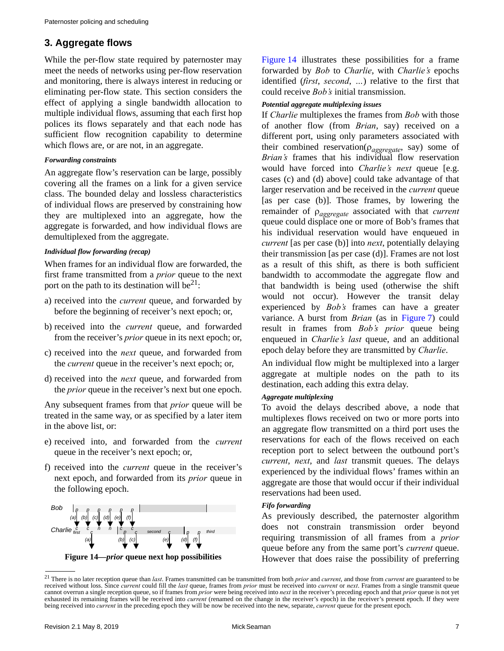# **3. Aggregate flows**

While the per-flow state required by paternoster may meet the needs of networks using per-flow reservation and monitoring, there is always interest in reducing or eliminating per-flow state. This section considers the effect of applying a single bandwidth allocation to multiple individual flows, assuming that each first hop polices its flows separately and that each node has sufficient flow recognition capability to determine which flows are, or are not, in an aggregate.

# *Forwarding constraints*

An aggregate flow's reservation can be large, possibly covering all the frames on a link for a given service class. The bounded delay and lossless characteristics of individual flows are preserved by constraining how they are multiplexed into an aggregate, how the aggregate is forwarded, and how individual flows are demultiplexed from the aggregate.

# *Individual flow forwarding (recap)*

When frames for an individual flow are forwarded, the first frame transmitted from a *prior* queue to the next port on the path to its destination will be $2^1$ :

- a) received into the *current* queue, and forwarded by before the beginning of receiver's next epoch; or,
- b) received into the *current* queue, and forwarded from the receiver's *prior* queue in its next epoch; or,
- c) received into the *next* queue, and forwarded from the *current* queue in the receiver's next epoch; or,
- d) received into the *next* queue, and forwarded from the *prior* queue in the receiver's next but one epoch.

Any subsequent frames from that *prior* queue will be treated in the same way, or as specified by a later item in the above list, or:

- e) received into, and forwarded from the *current* queue in the receiver's next epoch; or,
- f) received into the *current* queue in the receiver's next epoch, and forwarded from its *prior* queue in the following epoch.



<span id="page-6-0"></span>**Figure 14—***prior* **queue next hop possibilities**

[Figure 14](#page-6-0) illustrates these possibilities for a frame forwarded by *Bob* to *Charlie*, with *Charlie's* epochs identified (*first*, *second*, *…*) relative to the first that could receive *Bob's* initial transmission.

# *Potential aggregate multiplexing issues*

If *Charlie* multiplexes the frames from *Bob* with those of another flow (from *Brian*, say) received on a different port, using only parameters associated with their combined reservation(*aggregate*, say) some of *Brian's* frames that his individual flow reservation would have forced into *Charlie's next* queue [e.g. cases (c) and (d) above] could take advantage of that larger reservation and be received in the *current* queue [as per case (b)]. Those frames, by lowering the remainder of *aggregate* associated with that *current* queue could displace one or more of Bob's frames that his individual reservation would have enqueued in *current* [as per case (b)] into *next*, potentially delaying their transmission [as per case (d)]. Frames are not lost as a result of this shift, as there is both sufficient bandwidth to accommodate the aggregate flow and that bandwidth is being used (otherwise the shift would not occur). However the transit delay experienced by *Bob's* frames can have a greater variance. A burst from *Brian* (as in [Figure 7](#page-2-1)) could result in frames from *Bob's prior* queue being enqueued in *Charlie's last* queue, and an additional epoch delay before they are transmitted by *Charlie*.

An individual flow might be multiplexed into a larger aggregate at multiple nodes on the path to its destination, each adding this extra delay.

# *Aggregate multiplexing*

To avoid the delays described above, a node that multiplexes flows received on two or more ports into an aggregate flow transmitted on a third port uses the reservations for each of the flows received on each reception port to select between the outbound port's *current*, *next*, and *last* transmit queues. The delays experienced by the individual flows' frames within an aggregate are those that would occur if their individual reservations had been used.

# *Fifo forwarding*

As previously described, the paternoster algorithm does not constrain transmission order beyond requiring transmission of all frames from a *prior* queue before any from the same port's *current* queue. However that does raise the possibility of preferring

<sup>21</sup> There is no later reception queue than *last*. Frames transmitted can be transmitted from both *prior* and *current*, and those from *current* are guaranteed to be received without loss. Since *current* could fill the *last* queue, frames from *prior* must be received into *current* or *next*. Frames from a single transmit queue cannot overrun a single reception queue, so if frames from *prior* were being received into *next* in the receiver's preceding epoch and that *prior* queue is not yet exhausted its remaining frames will be received into *current* (renamed on the change in the receiver's epoch) in the receiver's present epoch. If they were being received into *current* in the preceding epoch they will be now be received into the new, separate, *current* queue for the present epoch.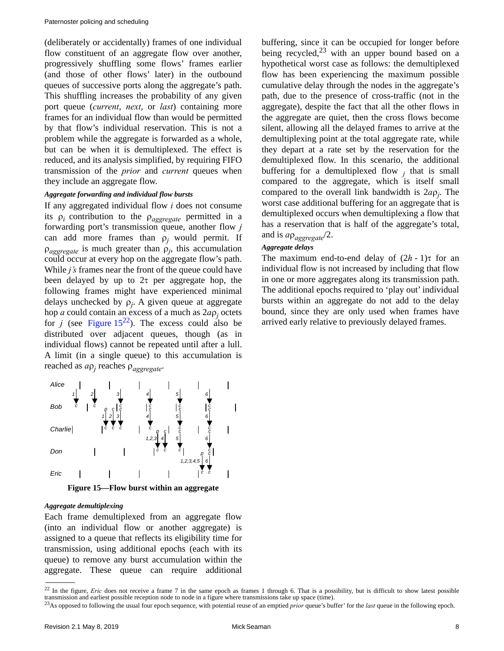(deliberately or accidentally) frames of one individual flow constituent of an aggregate flow over another, progressively shuffling some flows' frames earlier (and those of other flows' later) in the outbound queues of successive ports along the aggregate's path. This shuffling increases the probability of any given port queue (*current*, *next*, or *last*) containing more frames for an individual flow than would be permitted by that flow's individual reservation. This is not a problem while the aggregate is forwarded as a whole, but can be when it is demultiplexed. The effect is reduced, and its analysis simplified, by requiring FIFO transmission of the *prior* and *current* queues when they include an aggregate flow.

# *Aggregate forwarding and individual flow bursts*

If any aggregated individual flow *i* does not consume its  $\rho_i$  contribution to the  $\rho_{aggregate}$  permitted in a forwarding port's transmission queue, another flow *j* can add more frames than  $\rho_i$  would permit. If  $\rho_{aggregate}$  is much greater than  $\rho_j$ , this accumulation could occur at every hop on the aggregate flow's path. While *j's* frames near the front of the queue could have been delayed by up to  $2\tau$  per aggregate hop, the following frames might have experienced minimal delays unchecked by  $\rho_j$ . A given queue at aggregate hop *a* could contain an excess of a much as  $2a\rho_j$  octets for *j* (see Figure  $15^{22}$ ). The excess could also be distributed over adjacent queues, though (as in individual flows) cannot be repeated until after a lull. A limit (in a single queue) to this accumulation is reached as *a<sup>j</sup>* reaches *aggregate*.



**Figure 15—Flow burst within an aggregate**

#### <span id="page-7-0"></span>*Aggregate demultiplexing*

Each frame demultiplexed from an aggregate flow (into an individual flow or another aggregate) is assigned to a queue that reflects its eligibility time for transmission, using additional epochs (each with its queue) to remove any burst accumulation within the aggregate. These queue can require additional buffering, since it can be occupied for longer before being recycled, $2^3$  with an upper bound based on a hypothetical worst case as follows: the demultiplexed flow has been experiencing the maximum possible cumulative delay through the nodes in the aggregate's path, due to the presence of cross-traffic (not in the aggregate), despite the fact that all the other flows in the aggregate are quiet, then the cross flows become silent, allowing all the delayed frames to arrive at the demultiplexing point at the total aggregate rate, while they depart at a rate set by the reservation for the demultiplexed flow. In this scenario, the additional buffering for a demultiplexed flow  $j$  that is small compared to the aggregate, which is itself small compared to the overall link bandwidth is 2*a<sup>j</sup>* . The worst case additional buffering for an aggregate that is demultiplexed occurs when demultiplexing a flow that has a reservation that is half of the aggregate's total, and is  $a \rho_{\textit{agoregate}}/2$ .

# *Aggregate delays*

The maximum end-to-end delay of  $(2h - 1)\tau$  for an individual flow is not increased by including that flow in one or more aggregates along its transmission path. The additional epochs required to 'play out' individual bursts within an aggregate do not add to the delay bound, since they are only used when frames have arrived early relative to previously delayed frames.

<sup>&</sup>lt;sup>22</sup> In the figure, *Eric* does not receive a frame 7 in the same epoch as frames 1 through 6. That is a possibility, but is difficult to show latest possible transmission and earliest possible reception node to node in a figure where transmissions take up space (time).

<sup>23</sup>As opposed to following the usual four epoch sequence, with potential reuse of an emptied *prior* queue's buffer' for the *last* queue in the following epoch.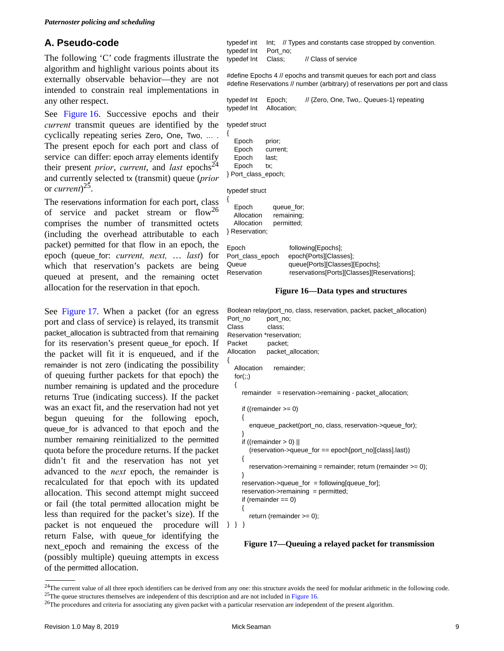# <span id="page-8-0"></span>**A. Pseudo-code**

The following 'C' code fragments illustrate the algorithm and highlight various points about its externally observable behavior—they are not intended to constrain real implementations in any other respect.

See Figure 16. Successive epochs and their *current* transmit queues are identified by the cyclically repeating series Zero, One, Two, … . The present epoch for each port and class of service can differ: epoch array elements identify their present *prior*, *current*, and *last* epochs<sup>24</sup> and currently selected tx (transmit) queue (*prior* or *current*) 25.

The reservations information for each port, class of service and packet stream or  $flow^{26}$ comprises the number of transmitted octets (including the overhead attributable to each packet) permitted for that flow in an epoch, the epoch (queue\_for: *current, next,* … *last*) for which that reservation's packets are being queued at present, and the remaining octet allocation for the reservation in that epoch.

See [Figure 17.](#page-8-1) When a packet (for an egress port and class of service) is relayed, its transmit packet\_allocation is subtracted from that remaining for its reservation's present queue\_for epoch. If the packet will fit it is enqueued, and if the remainder is not zero (indicating the possibility of queuing further packets for that epoch) the number remaining is updated and the procedure returns True (indicating success). If the packet was an exact fit, and the reservation had not yet begun queuing for the following epoch, queue\_for is advanced to that epoch and the number remaining reinitialized to the permitted quota before the procedure returns. If the packet didn't fit and the reservation has not yet advanced to the *next* epoch, the remainder is recalculated for that epoch with its updated allocation. This second attempt might succeed or fail (the total permitted allocation might be less than required for the packet's size). If the packet is not enqueued the procedure will  $\}$  } } return False, with queue\_for identifying the next epoch and remaining the excess of the (possibly multiple) queuing attempts in excess of the permitted allocation.

typedef int Int; // Types and constants case stropped by convention. typedef Int Port\_no; typedef Int Class; // Class of service

#define Epochs 4 // epochs and transmit queues for each port and class #define Reservations // number (arbitrary) of reservations per port and class

typedef Int Epoch; // {Zero, One, Two,. Queues-1} repeating typedef Int Allocation;

typedef struct

| Epoch | prior;              |
|-------|---------------------|
| Epoch | current;            |
| Epoch | last;               |
| Epoch | tx:                 |
|       | } Port_class_epoch; |
|       |                     |

typedef struct

| Epoch<br>Allocation<br>Allocation<br>Reservation; | queue for:<br>remaining;<br>permitted; |                                                                                                                               |
|---------------------------------------------------|----------------------------------------|-------------------------------------------------------------------------------------------------------------------------------|
| Epoch<br>Port class epoch<br>Queue<br>Reservation |                                        | following[Epochs];<br>epoch[Ports][Classes];<br>queue[Ports][Classes][Epochs];<br>reservations[Ports][Classes][Reservations]; |

#### **Figure 16—Data types and structures**

```
Boolean relay(port_no, class, reservation, packet, packet_allocation)
Port_no port_no;
Class class;
Reservation *reservation;
Packet packet;
Allocation packet_allocation;
{
   Allocation remainder;
  for(:;) {
      remainder = reservation->remaining - packet_allocation;
      if ((remainder >= 0)
      {
        enqueue_packet(port_no, class, reservation->queue_for);
      }
     if ((remainder > 0) ||
        (reservation->queue_for == epoch[port_no][class].last))
      {
        reservation->remaining = remainder; return (remainder >= 0);
      } 
      reservation->queue_for = following[queue_for];
     reservation->remaining = permitted;
     if (remainder == 0)
      {
        return (remainder >= 0);
```
#### <span id="page-8-1"></span>**Figure 17—Queuing a relayed packet for transmission**

<sup>&</sup>lt;sup>24</sup>The current value of all three epoch identifiers can be derived from any one: this structure avoids the need for modular arithmetic in the following code. <sup>25</sup>The queue structures themselves are independent of this description and are not included in Figure 16.

<sup>&</sup>lt;sup>26</sup>The procedures and criteria for associating any given packet with a particular reservation are independent of the present algorithm.